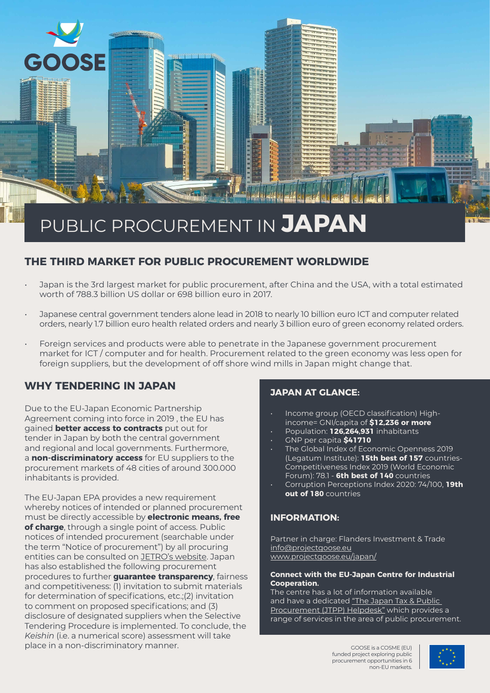# PUBLIC PROCUREMENT IN **JAPAN**

## **THE THIRD MARKET FOR PUBLIC PROCUREMENT WORLDWIDE**

- Japan is the 3rd largest market for public procurement, after China and the USA, with a total estimated worth of 788.3 billion US dollar or 698 billion euro in 2017.
- Japanese central government tenders alone lead in 2018 to nearly 10 billion euro ICT and computer related orders, nearly 1.7 billion euro health related orders and nearly 3 billion euro of green economy related orders.
- Foreign services and products were able to penetrate in the Japanese government procurement market for ICT / computer and for health. Procurement related to the green economy was less open for foreign suppliers, but the development of off shore wind mills in Japan might change that.

## **WHY TENDERING IN JAPAN**

**OSE** 

Due to the EU-Japan Economic Partnership Agreement coming into force in 2019 , the EU has gained **better access to contracts** put out for tender in Japan by both the central government and regional and local governments. Furthermore, a **non-discriminatory access** for EU suppliers to the procurement markets of 48 cities of around 300.000 inhabitants is provided.

The EU-Japan EPA provides a new requirement whereby notices of intended or planned procurement must be directly accessible by **electronic means, free of charge**, through a single point of access. Public notices of intended procurement (searchable under the term "Notice of procurement") by all procuring entities can be consulted on [JETRO's website](https://www.jetro.go.jp/en/database/procurement). Japan has also established the following procurement procedures to further **guarantee transparency**, fairness and competitiveness: (1) invitation to submit materials for determination of specifications, etc.;(2) invitation to comment on proposed specifications; and (3) disclosure of designated suppliers when the Selective Tendering Procedure is implemented. To conclude, the *Keishin* (i.e. a numerical score) assessment will take place in a non-discriminatory manner.

### **JAPAN AT GLANCE:**

- Income group (OECD classification) Highincome= GNI/capita of **\$12,236 or more**
- Population: **126,264,931** inhabitants
- GNP per capita **\$41710**
- The Global Index of Economic Openness 2019 (Legatum Institute): **15th best of 157** countries-Competitiveness Index 2019 (World Economic Forum): 78.1 - **6th best of 140** countries
- Corruption Perceptions Index 2020: 74/100, **19th out of 180** countries

#### **INFORMATION:**

Partner in charge: Flanders Investment & Trade [info@projectgoose.eu](mailto:info%40projectgoose.eu?subject=) [www.projectgoose.eu/japan/](http://www.projectgoose.eu/japan/)

#### **Connect with the EU-Japan Centre for Industrial Cooperation.**

The centre has a lot of information available and have a dedicated "The Japan Tax & Public [Procurement \(JTPP\) Helpdesk"](https://www.eu-japan.eu/government-procurement) which provides a range of services in the area of public procurement.